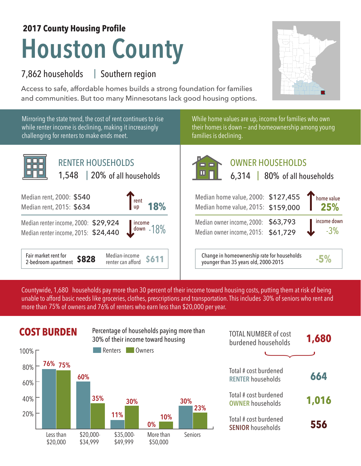## **Houston County 2017 County Housing Profile**

## 7,862 households Southern region |

Access to safe, affordable homes builds a strong foundation for families and communities. But too many Minnesotans lack good housing options.



Mirroring the state trend, the cost of rent continues to rise while renter income is declining, making it increasingly challenging for renters to make ends meet.



While home values are up, income for families who own their homes is down — and homeownership among young families is declining.

| <b>RENTER HOUSEHOLDS</b><br>1,548   20% of all households                                                                  | <b>OWNER HOUSEHOLDS</b><br>$\blacksquare$<br>6,314   80% of all households                         |
|----------------------------------------------------------------------------------------------------------------------------|----------------------------------------------------------------------------------------------------|
| 000: \$540<br>$\frac{1}{\pi}$ rent<br><b>18%</b><br>015: \$634                                                             | home value<br>Median home value, 2000: \$127,455<br>Median home value, 2015: \$159,000             |
| icome, 2000: \$29,924<br>$\begin{array}{ c c }\n\hline \text{income} & 18\%\\ \hline\n\end{array}$<br>come, 2015: \$24,440 | income down<br>Median owner income, 2000: \$63,793<br>$-3%$<br>Median owner income, 2015: \$61,729 |
| t for<br>Median-income<br>$+ - - -$                                                                                        | Change in homeownership rate for households<br>PA/                                                 |

Median-income **\$611** | Change in homeownership rate for households **-5%**<br>
renter can afford **\$611** | | younger than 35 years old, 2000-2015

Countywide, 1,680  $\,$  households pay more than 30 percent of their income toward housing costs, putting them at risk of being  $\,$ unable to afford basic needs like groceries, clothes, prescriptions and transportation. This includes 30% of seniors who rent and more than 75% of owners and 76% of renters who earn less than \$20,000 per year.



| <b>TOTAL NUMBER of cost</b><br>burdened households | 1,680 |
|----------------------------------------------------|-------|
|                                                    |       |
| Total # cost burdened<br><b>RENTER households</b>  | 664   |
| Total # cost burdened<br><b>OWNER households</b>   | 1,016 |
| Total # cost burdened<br><b>SENIOR households</b>  | 556   |